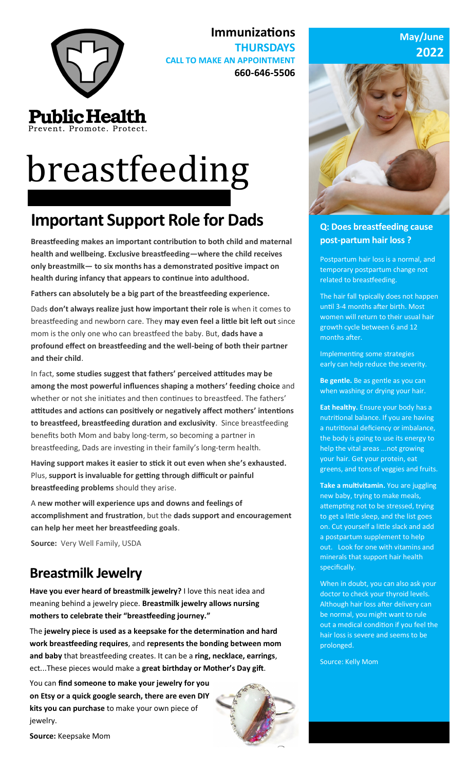

Prevent. Promote. Protect.

# breastfeeding

# **Important Support Role for Dads**

**Breastfeeding makes an important contribution to both child and maternal health and wellbeing. Exclusive breastfeeding—where the child receives only breastmilk— to six months has a demonstrated positive impact on health during infancy that appears to continue into adulthood.**

**Immunizations** 

**CALL TO MAKE AN APPOINTMENT**

**THURSDAYS** 

**660-646-5506**

**Fathers can absolutely be a big part of the breastfeeding experience.** 

Dads **don't always realize just how important their role is** when it comes to breastfeeding and newborn care. They **may even feel a little bit left out** since mom is the only one who can breastfeed the baby. But, **dads have a profound effect on breastfeeding and the well-being of both their partner and their child**.

In fact, **some studies suggest that fathers' perceived attitudes may be among the most powerful influences shaping a mothers' feeding choice** and whether or not she initiates and then continues to breastfeed. The fathers' **attitudes and actions can positively or negatively affect mothers' intentions to breastfeed, breastfeeding duration and exclusivity**. Since breastfeeding benefits both Mom and baby long-term, so becoming a partner in breastfeeding, Dads are investing in their family's long-term health.

**Having support makes it easier to stick it out even when she's exhausted.**  Plus, **support is invaluable for getting through difficult or painful breastfeeding problems** should they arise.

A **new mother will experience ups and downs and feelings of accomplishment and frustration**, but the **dads support and encouragement can help her meet her breastfeeding goals**.

**Source:** Very Well Family, USDA

## **Breastmilk Jewelry**

**Have you ever heard of breastmilk jewelry?** I love this neat idea and meaning behind a jewelry piece. **Breastmilk jewelry allows nursing mothers to celebrate their "breastfeeding journey."**

The **jewelry piece is used as a keepsake for the determination and hard work breastfeeding requires**, and **represents the bonding between mom and baby** that breastfeeding creates. It can be a **ring, necklace, earrings**, ect...These pieces would make a **great birthday or Mother's Day gift**.

You can **find someone to make your jewelry for you on Etsy or a quick google search, there are even DIY kits you can purchase** to make your own piece of jewelry.



#### **May/June 2022**



#### **Q: Does breastfeeding cause post-partum hair loss ?**

Postpartum hair loss is a normal, and temporary postpartum change not related to breastfeeding.

The hair fall typically does not happen until 3-4 months after birth. Most women will return to their usual hair growth cycle between 6 and 12 months after.

Implementing some strategies early can help reduce the severity.

**Be gentle.** Be as gentle as you can when washing or drying your hair.

**Eat healthy.** Ensure your body has a nutritional balance. If you are having a nutritional deficiency or imbalance, the body is going to use its energy to help the vital areas ...not growing your hair. Get your protein, eat greens, and tons of veggies and fruits.

**Take a multivitamin.** You are juggling new baby, trying to make meals, attempting not to be stressed, trying to get a little sleep, and the list goes on. Cut yourself a little slack and add a postpartum supplement to help out. Look for one with vitamins and minerals that support hair health specifically.

When in doubt, you can also ask your doctor to check your thyroid levels. Although hair loss after delivery can be normal, you might want to rule out a medical condition if you feel the hair loss is severe and seems to be prolonged.

Source: Kelly Mom

**Source:** Keepsake Mom